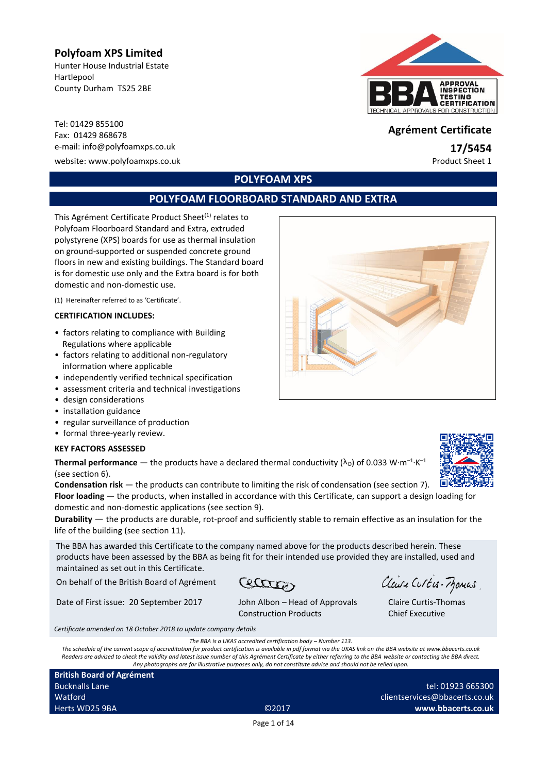# **Polyfoam XPS Limited**

Hunter House Industrial Estate Hartlepool County Durham TS25 2BE

Tel: 01429 855100 Fax: 01429 <sup>868678</sup> **Agrément Certificate** e-mail: info@polyfoamxps.co.uk **17/5454**

website: www.polyfoamxps.co.uk example of the example of the example of the example of the example of the example of the example of the example of the example of the example of the example of the example of the example of



# **POLYFOAM XPS**

# **POLYFOAM FLOORBOARD STANDARD AND EXTRA**

This Agrément Certificate Product Sheet<sup>(1)</sup> relates to Polyfoam Floorboard Standard and Extra, extruded polystyrene (XPS) boards for use as thermal insulation on ground-supported or suspended concrete ground floors in new and existing buildings. The Standard board is for domestic use only and the Extra board is for both domestic and non-domestic use.

(1) Hereinafter referred to as 'Certificate'.

### **CERTIFICATION INCLUDES:**

- factors relating to compliance with Building Regulations where applicable
- factors relating to additional non-regulatory information where applicable
- independently verified technical specification
- assessment criteria and technical investigations
- design considerations
- installation guidance
- regular surveillance of production
- formal three-yearly review.

### **KEY FACTORS ASSESSED**

**Thermal performance** — the products have a declared thermal conductivity ( $\lambda_{\text{\tiny D}}$ ) of 0.033 W·m<sup>-1</sup>·K<sup>-1</sup> (see section 6).

**Condensation risk** — the products can contribute to limiting the risk of condensation (see section 7). **Floor loading** — the products, when installed in accordance with this Certificate, can support a design loading for domestic and non-domestic applications (see section 9).

**Durability** — the products are durable, rot-proof and sufficiently stable to remain effective as an insulation for the life of the building (see section 11).

The BBA has awarded this Certificate to the company named above for the products described herein. These products have been assessed by the BBA as being fit for their intended use provided they are installed, used and maintained as set out in this Certificate.

On behalf of the British Board of Agrément

Date of First issue: 20 September 2017 John Albon – Head of Approvals

Ceatter

Construction Products

Claire Curtis-Momas

Claire Curtis-Thomas Chief Executive

*Certificate amended on 18 October 2018 to update company details*

*The BBA is a UKAS accredited certification body – Number 113.*

*The schedule of the current scope of accreditation for product certification is available in pdf format via the UKAS link on the BBA website at www.bbacerts.co.uk Readers are advised to check the validity and latest issue number of this Agrément Certificate by either referring to the BBA website or contacting the BBA direct. Any photographs are for illustrative purposes only, do not constitute advice and should not be relied upon.*

**British Board of Agrément** Bucknalls Lane Watford Herts WD25 9BA ©2017



tel: 01923 665300

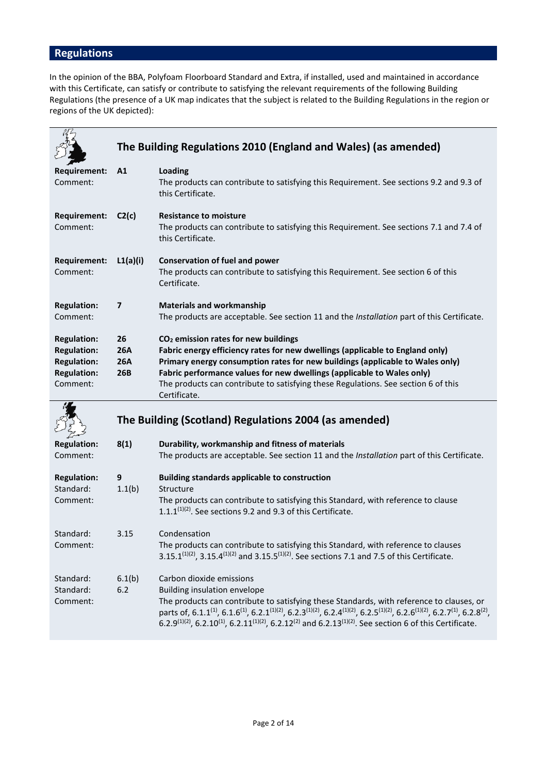# **Regulations**

In the opinion of the BBA, Polyfoam Floorboard Standard and Extra, if installed, used and maintained in accordance with this Certificate, can satisfy or contribute to satisfying the relevant requirements of the following Building Regulations (the presence of a UK map indicates that the subject is related to the Building Regulations in the region or regions of the UK depicted):

|                                                                                                  |                                | The Building Regulations 2010 (England and Wales) (as amended)                                                                                                                                                                                                                                                                                                                                     |
|--------------------------------------------------------------------------------------------------|--------------------------------|----------------------------------------------------------------------------------------------------------------------------------------------------------------------------------------------------------------------------------------------------------------------------------------------------------------------------------------------------------------------------------------------------|
| <b>Requirement:</b><br>Comment:                                                                  | A1                             | <b>Loading</b><br>The products can contribute to satisfying this Requirement. See sections 9.2 and 9.3 of<br>this Certificate.                                                                                                                                                                                                                                                                     |
| <b>Requirement:</b><br>Comment:                                                                  | C2(c)                          | <b>Resistance to moisture</b><br>The products can contribute to satisfying this Requirement. See sections 7.1 and 7.4 of<br>this Certificate.                                                                                                                                                                                                                                                      |
| <b>Requirement:</b><br>Comment:                                                                  | L1(a)(i)                       | <b>Conservation of fuel and power</b><br>The products can contribute to satisfying this Requirement. See section 6 of this<br>Certificate.                                                                                                                                                                                                                                                         |
| <b>Regulation:</b><br>Comment:                                                                   | 7                              | <b>Materials and workmanship</b><br>The products are acceptable. See section 11 and the Installation part of this Certificate.                                                                                                                                                                                                                                                                     |
| <b>Regulation:</b><br><b>Regulation:</b><br><b>Regulation:</b><br><b>Regulation:</b><br>Comment: | 26<br><b>26A</b><br>26A<br>26B | CO <sub>2</sub> emission rates for new buildings<br>Fabric energy efficiency rates for new dwellings (applicable to England only)<br>Primary energy consumption rates for new buildings (applicable to Wales only)<br>Fabric performance values for new dwellings (applicable to Wales only)<br>The products can contribute to satisfying these Regulations. See section 6 of this<br>Certificate. |
|                                                                                                  |                                | The Building (Scotland) Regulations 2004 (as amended)                                                                                                                                                                                                                                                                                                                                              |
| <b>Regulation:</b><br>Comment:                                                                   | 8(1)                           | Durability, workmanship and fitness of materials<br>The products are acceptable. See section 11 and the Installation part of this Certificate.                                                                                                                                                                                                                                                     |
| <b>Regulation:</b><br>Standard:<br>Comment:                                                      | 9<br>1.1(b)                    | <b>Building standards applicable to construction</b><br>Structure<br>The products can contribute to satisfying this Standard, with reference to clause<br>$1.1.1^{(1)(2)}$ . See sections 9.2 and 9.3 of this Certificate.                                                                                                                                                                         |
| Standard:<br>Comment:                                                                            | 3.15                           | Condensation<br>The products can contribute to satisfying this Standard, with reference to clauses<br>3.15.1 <sup>(1)(2)</sup> , 3.15.4 <sup>(1)(2)</sup> and 3.15.5 <sup>(1)(2)</sup> . See sections 7.1 and 7.5 of this Certificate.                                                                                                                                                             |
| Standard:                                                                                        | 6.1(b)                         | Carbon dioxide emissions                                                                                                                                                                                                                                                                                                                                                                           |

| Standard: | 6.2 | Building insulation envelope                                                                                                                                                                                                            |
|-----------|-----|-----------------------------------------------------------------------------------------------------------------------------------------------------------------------------------------------------------------------------------------|
| Comment:  |     | The products can contribute to satisfying these Standards, with reference to clauses, or                                                                                                                                                |
|           |     | parts of, 6.1.1 <sup>(1)</sup> , 6.1.6 <sup>(1)</sup> , 6.2.1 <sup>(1)</sup> (2), 6.2.3 <sup>(1)</sup> (2), 6.2.4 <sup>(1)</sup> (2), 6.2.5 <sup>(1)</sup> (2), 6.2.6 <sup>(1)</sup> (2), 6.2.7 <sup>(1)</sup> , 6.2.8 <sup>(2)</sup> , |
|           |     | 6.2.9 <sup>(1)(2)</sup> , 6.2.10 <sup>(1)</sup> , 6.2.11 <sup>(1)(2)</sup> , 6.2.12 <sup>(2)</sup> and 6.2.13 <sup>(1)(2)</sup> . See section 6 of this Certificate.                                                                    |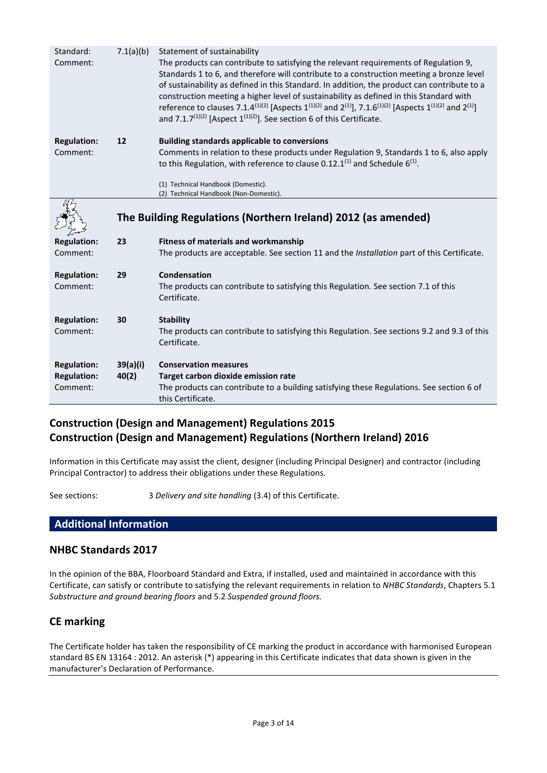| Standard:<br>Comment:          | 7.1(a)(b) | Statement of sustainability<br>The products can contribute to satisfying the relevant requirements of Regulation 9,<br>Standards 1 to 6, and therefore will contribute to a construction meeting a bronze level<br>of sustainability as defined in this Standard. In addition, the product can contribute to a<br>construction meeting a higher level of sustainability as defined in this Standard with<br>reference to clauses 7.1.4 <sup>(1)(2)</sup> [Aspects 1 <sup>(1)(2)</sup> and 2 <sup>(1)</sup> ], 7.1.6 <sup>(1)(2)</sup> [Aspects 1 <sup>(1)(2)</sup> and 2 <sup>(1)</sup> ]<br>and 7.1.7 <sup>(1)(2)</sup> [Aspect $1^{(1)(2)}$ ]. See section 6 of this Certificate. |
|--------------------------------|-----------|-------------------------------------------------------------------------------------------------------------------------------------------------------------------------------------------------------------------------------------------------------------------------------------------------------------------------------------------------------------------------------------------------------------------------------------------------------------------------------------------------------------------------------------------------------------------------------------------------------------------------------------------------------------------------------------|
|                                |           |                                                                                                                                                                                                                                                                                                                                                                                                                                                                                                                                                                                                                                                                                     |
| <b>Regulation:</b><br>Comment: | 12        | <b>Building standards applicable to conversions</b><br>Comments in relation to these products under Regulation 9, Standards 1 to 6, also apply<br>to this Regulation, with reference to clause 0.12.1 <sup>(1)</sup> and Schedule $6^{(1)}$ .                                                                                                                                                                                                                                                                                                                                                                                                                                       |
|                                |           | (1) Technical Handbook (Domestic).                                                                                                                                                                                                                                                                                                                                                                                                                                                                                                                                                                                                                                                  |
|                                |           | (2) Technical Handbook (Non-Domestic).                                                                                                                                                                                                                                                                                                                                                                                                                                                                                                                                                                                                                                              |
|                                |           | The Building Regulations (Northern Ireland) 2012 (as amended)                                                                                                                                                                                                                                                                                                                                                                                                                                                                                                                                                                                                                       |
| <b>Regulation:</b>             | 23        | <b>Fitness of materials and workmanship</b>                                                                                                                                                                                                                                                                                                                                                                                                                                                                                                                                                                                                                                         |
| Comment:                       |           | The products are acceptable. See section 11 and the Installation part of this Certificate.                                                                                                                                                                                                                                                                                                                                                                                                                                                                                                                                                                                          |
| <b>Regulation:</b>             | 29        | Condensation                                                                                                                                                                                                                                                                                                                                                                                                                                                                                                                                                                                                                                                                        |
| Comment:                       |           | The products can contribute to satisfying this Regulation. See section 7.1 of this<br>Certificate.                                                                                                                                                                                                                                                                                                                                                                                                                                                                                                                                                                                  |
|                                | 30        |                                                                                                                                                                                                                                                                                                                                                                                                                                                                                                                                                                                                                                                                                     |
| <b>Regulation:</b><br>Comment: |           | <b>Stability</b><br>The products can contribute to satisfying this Regulation. See sections 9.2 and 9.3 of this<br>Certificate.                                                                                                                                                                                                                                                                                                                                                                                                                                                                                                                                                     |
| <b>Regulation:</b>             | 39(a)(i)  | <b>Conservation measures</b>                                                                                                                                                                                                                                                                                                                                                                                                                                                                                                                                                                                                                                                        |
|                                |           |                                                                                                                                                                                                                                                                                                                                                                                                                                                                                                                                                                                                                                                                                     |
| <b>Regulation:</b>             | 40(2)     | Target carbon dioxide emission rate                                                                                                                                                                                                                                                                                                                                                                                                                                                                                                                                                                                                                                                 |
| Comment:                       |           | The products can contribute to a building satisfying these Regulations. See section 6 of<br>this Certificate.                                                                                                                                                                                                                                                                                                                                                                                                                                                                                                                                                                       |

# **Construction (Design and Management) Regulations 2015 Construction (Design and Management) Regulations (Northern Ireland) 2016**

Information in this Certificate may assist the client, designer (including Principal Designer) and contractor (including Principal Contractor) to address their obligations under these Regulations.

See sections: 3 *Delivery and site handling* (3.4) of this Certificate.

# **Additional Information**

### **NHBC Standards 2017**

In the opinion of the BBA, Floorboard Standard and Extra, if installed, used and maintained in accordance with this Certificate, can satisfy or contribute to satisfying the relevant requirements in relation to *NHBC Standards*, Chapters 5.1 *Substructure and ground bearing floors* and 5.2 *Suspended ground floors.*

# **CE marking**

The Certificate holder has taken the responsibility of CE marking the product in accordance with harmonised European standard BS EN 13164 : 2012. An asterisk (\*) appearing in this Certificate indicates that data shown is given in the manufacturer's Declaration of Performance.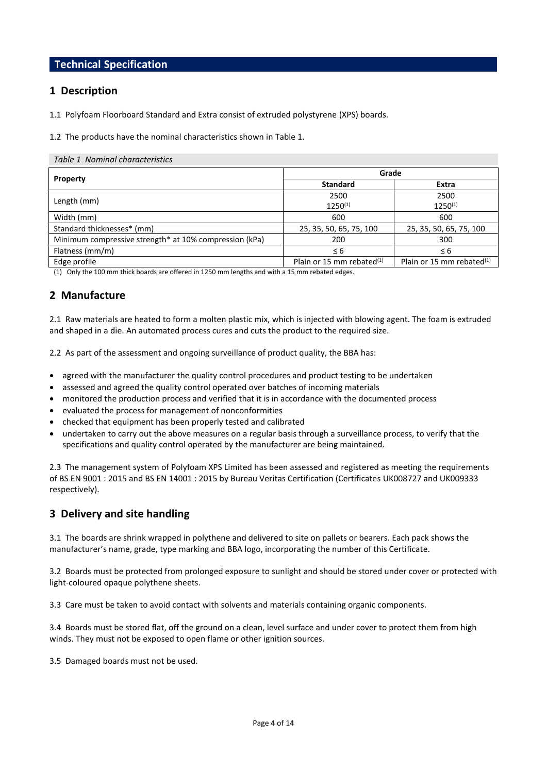# **Technical Specification**

### **1 Description**

1.1 Polyfoam Floorboard Standard and Extra consist of extruded polystyrene (XPS) boards.

1.2 The products have the nominal characteristics shown in Table 1.

#### *Table 1 Nominal characteristics*

|                                                        | Grade                        |                              |  |  |
|--------------------------------------------------------|------------------------------|------------------------------|--|--|
| Property                                               | <b>Standard</b>              | Extra                        |  |  |
|                                                        | 2500                         | 2500                         |  |  |
| Length (mm)                                            | $1250^{(1)}$                 | $1250^{(1)}$                 |  |  |
| Width (mm)                                             | 600                          | 600                          |  |  |
| Standard thicknesses* (mm)                             | 25, 35, 50, 65, 75, 100      | 25, 35, 50, 65, 75, 100      |  |  |
| Minimum compressive strength* at 10% compression (kPa) | 200                          | 300                          |  |  |
| Flatness (mm/m)                                        | $\leq 6$                     | $\leq 6$                     |  |  |
| Edge profile                                           | Plain or 15 mm rebated $(1)$ | Plain or 15 mm rebated $(1)$ |  |  |

(1) Only the 100 mm thick boards are offered in 1250 mm lengths and with a 15 mm rebated edges.

# **2 Manufacture**

2.1 Raw materials are heated to form a molten plastic mix, which is injected with blowing agent. The foam is extruded and shaped in a die. An automated process cures and cuts the product to the required size.

2.2 As part of the assessment and ongoing surveillance of product quality, the BBA has:

- agreed with the manufacturer the quality control procedures and product testing to be undertaken
- assessed and agreed the quality control operated over batches of incoming materials
- monitored the production process and verified that it is in accordance with the documented process
- evaluated the process for management of nonconformities
- checked that equipment has been properly tested and calibrated
- undertaken to carry out the above measures on a regular basis through a surveillance process, to verify that the specifications and quality control operated by the manufacturer are being maintained.

2.3 The management system of Polyfoam XPS Limited has been assessed and registered as meeting the requirements of BS EN 9001 : 2015 and BS EN 14001 : 2015 by Bureau Veritas Certification (Certificates UK008727 and UK009333 respectively).

### **3 Delivery and site handling**

3.1 The boards are shrink wrapped in polythene and delivered to site on pallets or bearers. Each pack shows the manufacturer's name, grade, type marking and BBA logo, incorporating the number of this Certificate.

3.2 Boards must be protected from prolonged exposure to sunlight and should be stored under cover or protected with light-coloured opaque polythene sheets.

3.3 Care must be taken to avoid contact with solvents and materials containing organic components.

3.4 Boards must be stored flat, off the ground on a clean, level surface and under cover to protect them from high winds. They must not be exposed to open flame or other ignition sources.

3.5 Damaged boards must not be used.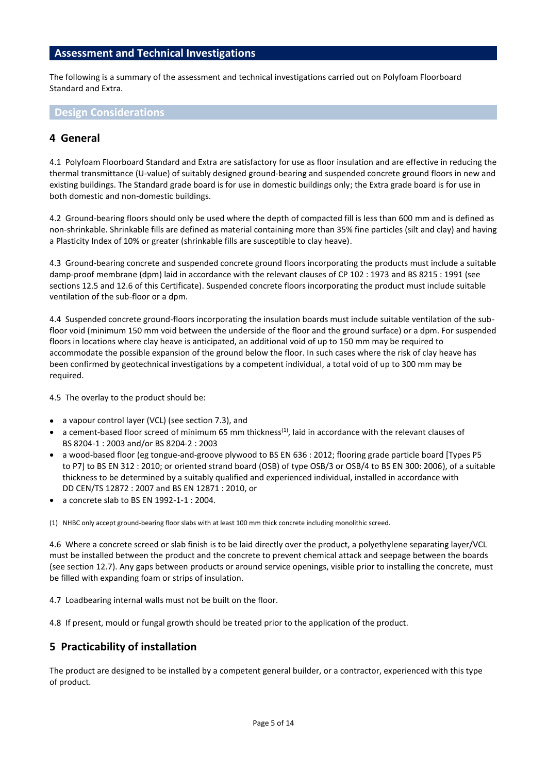### **Assessment and Technical Investigations**

The following is a summary of the assessment and technical investigations carried out on Polyfoam Floorboard Standard and Extra.

**Design Considerations**

## **4 General**

4.1 Polyfoam Floorboard Standard and Extra are satisfactory for use as floor insulation and are effective in reducing the thermal transmittance (U-value) of suitably designed ground-bearing and suspended concrete ground floors in new and existing buildings. The Standard grade board is for use in domestic buildings only; the Extra grade board is for use in both domestic and non-domestic buildings.

4.2 Ground-bearing floors should only be used where the depth of compacted fill is less than 600 mm and is defined as non-shrinkable. Shrinkable fills are defined as material containing more than 35% fine particles (silt and clay) and having a Plasticity Index of 10% or greater (shrinkable fills are susceptible to clay heave).

4.3 Ground-bearing concrete and suspended concrete ground floors incorporating the products must include a suitable damp-proof membrane (dpm) laid in accordance with the relevant clauses of CP 102 : 1973 and BS 8215 : 1991 (see sections 12.5 and 12.6 of this Certificate). Suspended concrete floors incorporating the product must include suitable ventilation of the sub-floor or a dpm.

4.4 Suspended concrete ground-floors incorporating the insulation boards must include suitable ventilation of the subfloor void (minimum 150 mm void between the underside of the floor and the ground surface) or a dpm. For suspended floors in locations where clay heave is anticipated, an additional void of up to 150 mm may be required to accommodate the possible expansion of the ground below the floor. In such cases where the risk of clay heave has been confirmed by geotechnical investigations by a competent individual, a total void of up to 300 mm may be required.

4.5 The overlay to the product should be:

- a vapour control layer (VCL) (see section 7.3), and
- a cement-based floor screed of minimum 65 mm thickness<sup>(1)</sup>, laid in accordance with the relevant clauses of BS 8204-1 : 2003 and/or BS 8204-2 : 2003
- a wood-based floor (eg tongue-and-groove plywood to BS EN 636 : 2012; flooring grade particle board [Types P5 to P7] to BS EN 312 : 2010; or oriented strand board (OSB) of type OSB/3 or OSB/4 to BS EN 300: 2006), of a suitable thickness to be determined by a suitably qualified and experienced individual, installed in accordance with DD CEN/TS 12872 : 2007 and BS EN 12871 : 2010, or
- a concrete slab to BS EN 1992-1-1 : 2004.

(1) NHBC only accept ground-bearing floor slabs with at least 100 mm thick concrete including monolithic screed.

4.6 Where a concrete screed or slab finish is to be laid directly over the product, a polyethylene separating layer/VCL must be installed between the product and the concrete to prevent chemical attack and seepage between the boards (see section 12.7). Any gaps between products or around service openings, visible prior to installing the concrete, must be filled with expanding foam or strips of insulation.

4.7 Loadbearing internal walls must not be built on the floor.

4.8 If present, mould or fungal growth should be treated prior to the application of the product.

### **5 Practicability of installation**

The product are designed to be installed by a competent general builder, or a contractor, experienced with this type of product.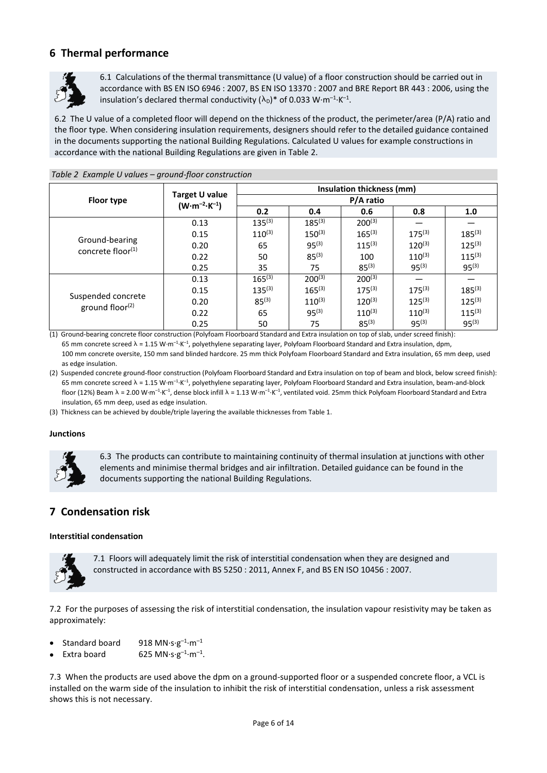# **6 Thermal performance**



6.1 Calculations of the thermal transmittance (U value) of a floor construction should be carried out in accordance with BS EN ISO 6946 : 2007, BS EN ISO 13370 : 2007 and BRE Report BR 443 : 2006, using the insulation's declared thermal conductivity ( $\lambda_{\text{\tiny D}}$ )\* of 0.033 W·m<sup>-1</sup>·K<sup>-1</sup>.

6.2 The U value of a completed floor will depend on the thickness of the product, the perimeter/area (P/A) ratio and the floor type. When considering insulation requirements, designers should refer to the detailed guidance contained in the documents supporting the national Building Regulations. Calculated U values for example constructions in accordance with the national Building Regulations are given in Table 2.

|                                        | Target U value<br>$(W \cdot m^{-2} \cdot K^{-1})$ | Insulation thickness (mm)<br>P/A ratio |             |             |             |             |
|----------------------------------------|---------------------------------------------------|----------------------------------------|-------------|-------------|-------------|-------------|
| Floor type                             |                                                   |                                        |             |             |             |             |
|                                        |                                                   | 0.2                                    | 0.4         | 0.6         | 0.8         | 1.0         |
|                                        | 0.13                                              | $135^{(3)}$                            | $185^{(3)}$ | $200^{(3)}$ |             |             |
|                                        | 0.15                                              | $110^{(3)}$                            | $150^{(3)}$ | $165^{(3)}$ | $175^{(3)}$ | $185^{(3)}$ |
| Ground-bearing<br>concrete floor $(1)$ | 0.20                                              | 65                                     | $95^{(3)}$  | $115^{(3)}$ | $120^{(3)}$ | $125^{(3)}$ |
|                                        | 0.22                                              | 50                                     | $85^{(3)}$  | 100         | $110^{(3)}$ | $115^{(3)}$ |
|                                        | 0.25                                              | 35                                     | 75          | $85^{(3)}$  | $95^{(3)}$  | $95^{(3)}$  |
|                                        | 0.13                                              | $165^{(3)}$                            | $200^{(3)}$ | $200^{(3)}$ |             |             |
|                                        | 0.15                                              | $135^{(3)}$                            | $165^{(3)}$ | $175^{(3)}$ | $175^{(3)}$ | $185^{(3)}$ |
| Suspended concrete                     | 0.20                                              | $85^{(3)}$                             | $110^{(3)}$ | $120^{(3)}$ | $125^{(3)}$ | $125^{(3)}$ |
| ground floor <sup>(2)</sup>            | 0.22                                              | 65                                     | $95^{(3)}$  | $110^{(3)}$ | $110^{(3)}$ | $115^{(3)}$ |
|                                        | 0.25                                              | 50                                     | 75          | $85^{(3)}$  | $95^{(3)}$  | $95^{(3)}$  |

#### *Table 2 Example U values – ground-floor construction*

(1) Ground-bearing concrete floor construction (Polyfoam Floorboard Standard and Extra insulation on top of slab, under screed finish): 65 mm concrete screed  $\lambda$  = 1.15 W·m<sup>-1</sup>·K<sup>-1</sup>, polyethylene separating layer, Polyfoam Floorboard Standard and Extra insulation, dpm, 100 mm concrete oversite, 150 mm sand blinded hardcore. 25 mm thick Polyfoam Floorboard Standard and Extra insulation, 65 mm deep, used as edge insulation.

(2) Suspended concrete ground-floor construction (Polyfoam Floorboard Standard and Extra insulation on top of beam and block, below screed finish): 65 mm concrete screed  $\lambda = 1.15$  W·m<sup>-1</sup>·K<sup>-1</sup>, polyethylene separating layer, Polyfoam Floorboard Standard and Extra insulation, beam-and-block floor (12%) Beam  $\lambda$  = 2.00 W·m<sup>-1.</sup>K<sup>-1</sup>, dense block infill  $\lambda$  = 1.13 W·m<sup>-1.</sup>K<sup>-1</sup>, ventilated void. 25mm thick Polyfoam Floorboard Standard and Extra insulation, 65 mm deep, used as edge insulation.

(3) Thickness can be achieved by double/triple layering the available thicknesses from Table 1.

#### **Junctions**



6.3 The products can contribute to maintaining continuity of thermal insulation at junctions with other elements and minimise thermal bridges and air infiltration. Detailed guidance can be found in the documents supporting the national Building Regulations.

### **7 Condensation risk**

#### **Interstitial condensation**



7.1 Floors will adequately limit the risk of interstitial condensation when they are designed and constructed in accordance with BS 5250 : 2011, Annex F, and BS EN ISO 10456 : 2007.

7.2 For the purposes of assessing the risk of interstitial condensation, the insulation vapour resistivity may be taken as approximately:

- Standard board 918  $MN·s·g^{-1}·m^{-1}$
- Extra board 625 MN $\cdot$ s·g<sup>-1</sup>·m<sup>-1</sup>.

7.3 When the products are used above the dpm on a ground-supported floor or a suspended concrete floor, a VCL is installed on the warm side of the insulation to inhibit the risk of interstitial condensation, unless a risk assessment shows this is not necessary.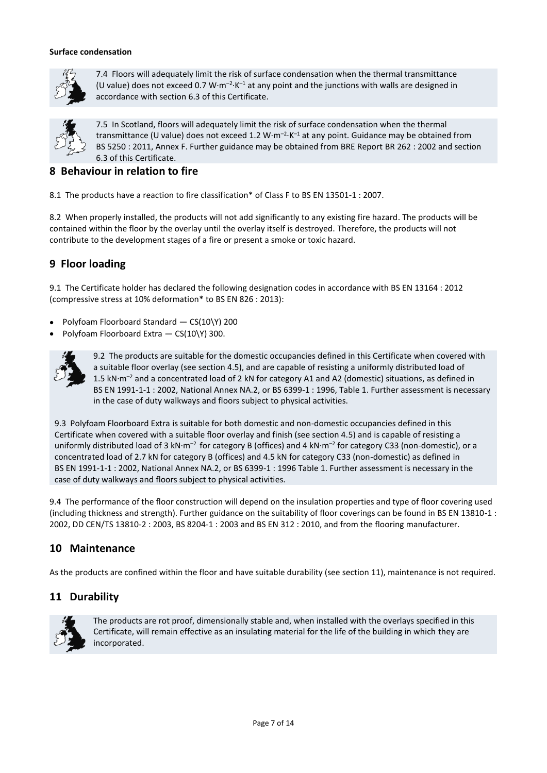#### **Surface condensation**



7.4 Floors will adequately limit the risk of surface condensation when the thermal transmittance (U value) does not exceed 0.7 W $\cdot$ m<sup>-2</sup> $\cdot$ K<sup>-1</sup> at any point and the junctions with walls are designed in accordance with section 6.3 of this Certificate.



7.5 In Scotland, floors will adequately limit the risk of surface condensation when the thermal transmittance (U value) does not exceed 1.2  $W \cdot m^{-2} \cdot K^{-1}$  at any point. Guidance may be obtained from BS 5250 : 2011, Annex F. Further guidance may be obtained from BRE Report BR 262 : 2002 and section 6.3 of this Certificate.

# **8 Behaviour in relation to fire**

8.1 The products have a reaction to fire classification\* of Class F to BS EN 13501-1 : 2007.

8.2 When properly installed, the products will not add significantly to any existing fire hazard. The products will be contained within the floor by the overlay until the overlay itself is destroyed. Therefore, the products will not contribute to the development stages of a fire or present a smoke or toxic hazard.

# **9 Floor loading**

9.1 The Certificate holder has declared the following designation codes in accordance with BS EN 13164 : 2012 (compressive stress at 10% deformation\* to BS EN 826 : 2013):

- Polyfoam Floorboard Standard CS(10\Y) 200
- Polyfoam Floorboard Extra CS(10\Y) 300.



9.2 The products are suitable for the domestic occupancies defined in this Certificate when covered with a suitable floor overlay (see section 4.5), and are capable of resisting a uniformly distributed load of 1.5 kN·m–<sup>2</sup> and a concentrated load of 2 kN for category A1 and A2 (domestic) situations, as defined in BS EN 1991-1-1 : 2002, National Annex NA.2, or BS 6399-1 : 1996, Table 1. Further assessment is necessary in the case of duty walkways and floors subject to physical activities.

9.3 Polyfoam Floorboard Extra is suitable for both domestic and non-domestic occupancies defined in this Certificate when covered with a suitable floor overlay and finish (see section 4.5) and is capable of resisting a uniformly distributed load of 3 kN·m<sup>-2</sup> for category B (offices) and 4 kN·m<sup>-2</sup> for category C33 (non-domestic), or a concentrated load of 2.7 kN for category B (offices) and 4.5 kN for category C33 (non-domestic) as defined in BS EN 1991-1-1 : 2002, National Annex NA.2, or BS 6399-1 : 1996 Table 1. Further assessment is necessary in the case of duty walkways and floors subject to physical activities.

9.4 The performance of the floor construction will depend on the insulation properties and type of floor covering used (including thickness and strength). Further guidance on the suitability of floor coverings can be found in BS EN 13810-1 : 2002, DD CEN/TS 13810-2 : 2003, BS 8204-1 : 2003 and BS EN 312 : 2010, and from the flooring manufacturer.

# **10 Maintenance**

As the products are confined within the floor and have suitable durability (see section 11), maintenance is not required.

### **11 Durability**



The products are rot proof, dimensionally stable and, when installed with the overlays specified in this Certificate, will remain effective as an insulating material for the life of the building in which they are incorporated.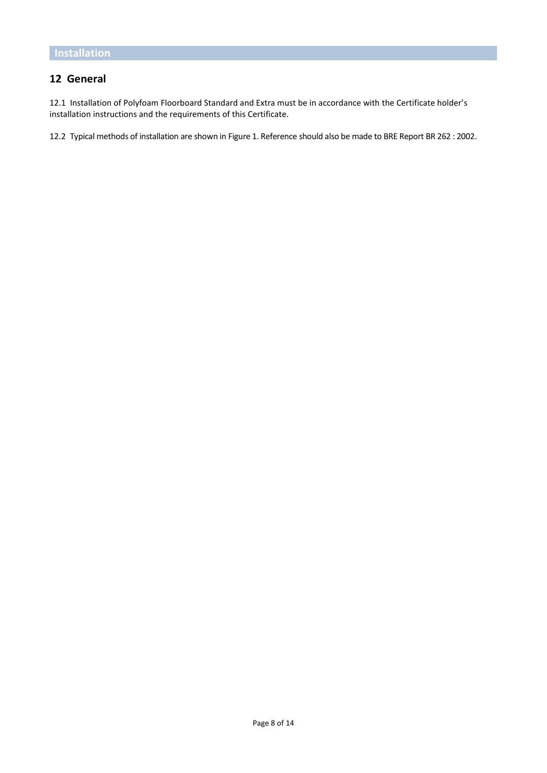# **12 General**

12.1 Installation of Polyfoam Floorboard Standard and Extra must be in accordance with the Certificate holder's installation instructions and the requirements of this Certificate.

12.2 Typical methods of installation are shown in Figure 1. Reference should also be made to BRE Report BR 262 : 2002.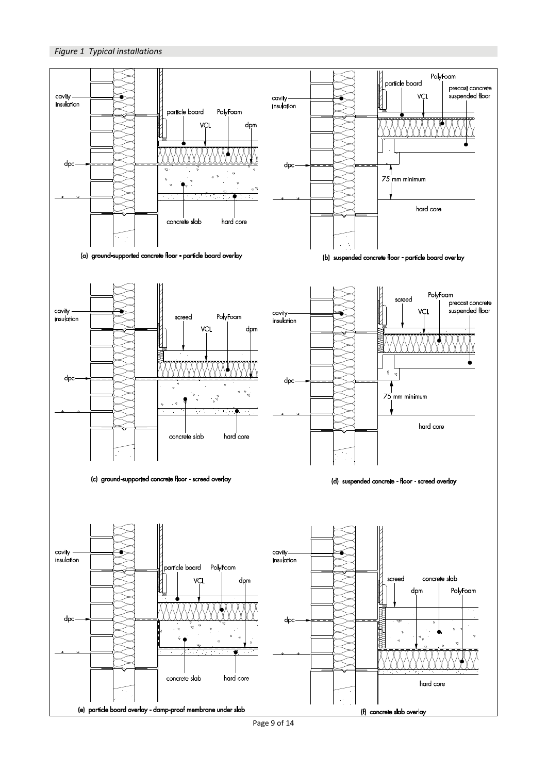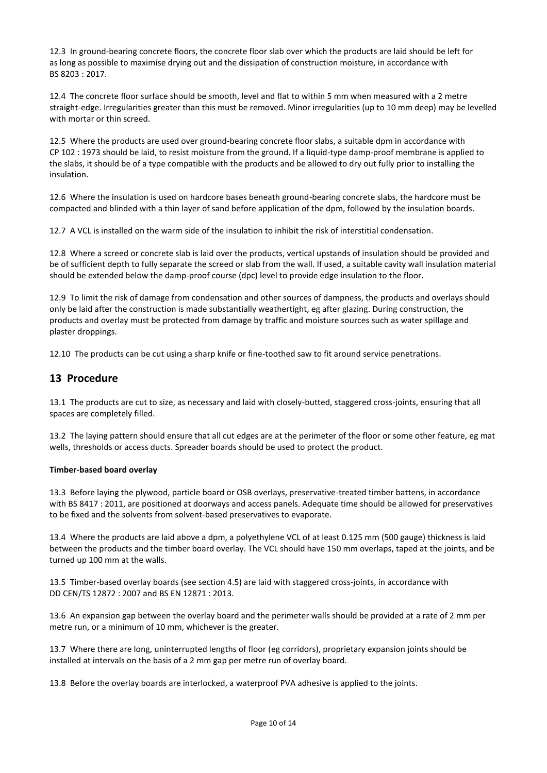12.3 In ground-bearing concrete floors, the concrete floor slab over which the products are laid should be left for as long as possible to maximise drying out and the dissipation of construction moisture, in accordance with BS 8203 : 2017.

12.4 The concrete floor surface should be smooth, level and flat to within 5 mm when measured with a 2 metre straight-edge. Irregularities greater than this must be removed. Minor irregularities (up to 10 mm deep) may be levelled with mortar or thin screed.

12.5 Where the products are used over ground-bearing concrete floor slabs, a suitable dpm in accordance with CP 102 : 1973 should be laid, to resist moisture from the ground. If a liquid-type damp-proof membrane is applied to the slabs, it should be of a type compatible with the products and be allowed to dry out fully prior to installing the insulation.

12.6 Where the insulation is used on hardcore bases beneath ground-bearing concrete slabs, the hardcore must be compacted and blinded with a thin layer of sand before application of the dpm, followed by the insulation boards.

12.7 A VCL is installed on the warm side of the insulation to inhibit the risk of interstitial condensation.

12.8 Where a screed or concrete slab is laid over the products, vertical upstands of insulation should be provided and be of sufficient depth to fully separate the screed or slab from the wall. If used, a suitable cavity wall insulation material should be extended below the damp-proof course (dpc) level to provide edge insulation to the floor.

12.9 To limit the risk of damage from condensation and other sources of dampness, the products and overlays should only be laid after the construction is made substantially weathertight, eg after glazing. During construction, the products and overlay must be protected from damage by traffic and moisture sources such as water spillage and plaster droppings.

12.10 The products can be cut using a sharp knife or fine-toothed saw to fit around service penetrations.

### **13 Procedure**

13.1 The products are cut to size, as necessary and laid with closely-butted, staggered cross-joints, ensuring that all spaces are completely filled.

13.2 The laying pattern should ensure that all cut edges are at the perimeter of the floor or some other feature, eg mat wells, thresholds or access ducts. Spreader boards should be used to protect the product.

#### **Timber-based board overlay**

13.3 Before laying the plywood, particle board or OSB overlays, preservative-treated timber battens, in accordance with BS 8417 : 2011, are positioned at doorways and access panels. Adequate time should be allowed for preservatives to be fixed and the solvents from solvent-based preservatives to evaporate.

13.4 Where the products are laid above a dpm, a polyethylene VCL of at least 0.125 mm (500 gauge) thickness is laid between the products and the timber board overlay. The VCL should have 150 mm overlaps, taped at the joints, and be turned up 100 mm at the walls.

13.5 Timber-based overlay boards (see section 4.5) are laid with staggered cross-joints, in accordance with DD CEN/TS 12872 : 2007 and BS EN 12871 : 2013.

13.6 An expansion gap between the overlay board and the perimeter walls should be provided at a rate of 2 mm per metre run, or a minimum of 10 mm, whichever is the greater.

13.7 Where there are long, uninterrupted lengths of floor (eg corridors), proprietary expansion joints should be installed at intervals on the basis of a 2 mm gap per metre run of overlay board.

13.8 Before the overlay boards are interlocked, a waterproof PVA adhesive is applied to the joints.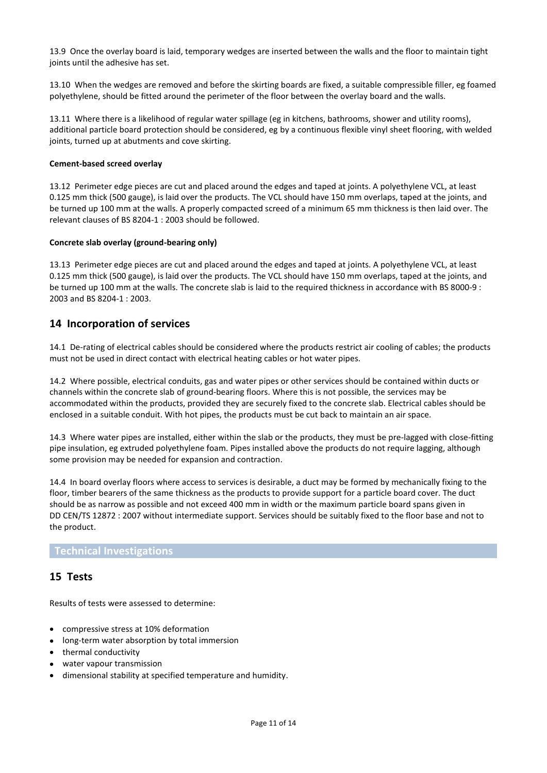13.9 Once the overlay board is laid, temporary wedges are inserted between the walls and the floor to maintain tight joints until the adhesive has set.

13.10 When the wedges are removed and before the skirting boards are fixed, a suitable compressible filler, eg foamed polyethylene, should be fitted around the perimeter of the floor between the overlay board and the walls.

13.11 Where there is a likelihood of regular water spillage (eg in kitchens, bathrooms, shower and utility rooms), additional particle board protection should be considered, eg by a continuous flexible vinyl sheet flooring, with welded joints, turned up at abutments and cove skirting.

#### **Cement-based screed overlay**

13.12 Perimeter edge pieces are cut and placed around the edges and taped at joints. A polyethylene VCL, at least 0.125 mm thick (500 gauge), is laid over the products. The VCL should have 150 mm overlaps, taped at the joints, and be turned up 100 mm at the walls. A properly compacted screed of a minimum 65 mm thickness is then laid over. The relevant clauses of BS 8204-1 : 2003 should be followed.

#### **Concrete slab overlay (ground-bearing only)**

13.13 Perimeter edge pieces are cut and placed around the edges and taped at joints. A polyethylene VCL, at least 0.125 mm thick (500 gauge), is laid over the products. The VCL should have 150 mm overlaps, taped at the joints, and be turned up 100 mm at the walls. The concrete slab is laid to the required thickness in accordance with BS 8000-9 : 2003 and BS 8204-1 : 2003.

### **14 Incorporation of services**

14.1 De-rating of electrical cables should be considered where the products restrict air cooling of cables; the products must not be used in direct contact with electrical heating cables or hot water pipes.

14.2 Where possible, electrical conduits, gas and water pipes or other services should be contained within ducts or channels within the concrete slab of ground-bearing floors. Where this is not possible, the services may be accommodated within the products, provided they are securely fixed to the concrete slab. Electrical cables should be enclosed in a suitable conduit. With hot pipes, the products must be cut back to maintain an air space.

14.3 Where water pipes are installed, either within the slab or the products, they must be pre-lagged with close-fitting pipe insulation, eg extruded polyethylene foam. Pipes installed above the products do not require lagging, although some provision may be needed for expansion and contraction.

14.4 In board overlay floors where access to services is desirable, a duct may be formed by mechanically fixing to the floor, timber bearers of the same thickness as the products to provide support for a particle board cover. The duct should be as narrow as possible and not exceed 400 mm in width or the maximum particle board spans given in DD CEN/TS 12872 : 2007 without intermediate support. Services should be suitably fixed to the floor base and not to the product.

### **Technical Investigations**

### **15 Tests**

Results of tests were assessed to determine:

- compressive stress at 10% deformation
- long-term water absorption by total immersion
- thermal conductivity
- water vapour transmission
- dimensional stability at specified temperature and humidity.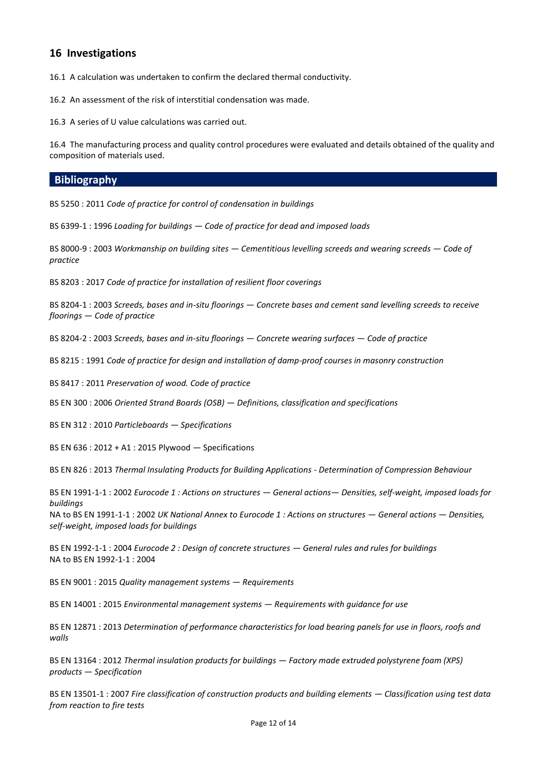## **16 Investigations**

16.1 A calculation was undertaken to confirm the declared thermal conductivity.

16.2 An assessment of the risk of interstitial condensation was made.

16.3 A series of U value calculations was carried out.

16.4 The manufacturing process and quality control procedures were evaluated and details obtained of the quality and composition of materials used.

### **Bibliography**

BS 5250 : 2011 *Code of practice for control of condensation in buildings*

BS 6399-1 : 1996 *Loading for buildings — Code of practice for dead and imposed loads*

BS 8000-9 : 2003 *Workmanship on building sites — Cementitious levelling screeds and wearing screeds — Code of practice*

BS 8203 : 2017 *Code of practice for installation of resilient floor coverings*

BS 8204-1 : 2003 *Screeds, bases and in-situ floorings — Concrete bases and cement sand levelling screeds to receive floorings — Code of practice*

BS 8204-2 : 2003 *Screeds, bases and in-situ floorings — Concrete wearing surfaces — Code of practice*

BS 8215 : 1991 *Code of practice for design and installation of damp-proof courses in masonry construction*

BS 8417 : 2011 *Preservation of wood. Code of practice*

BS EN 300 : 2006 *Oriented Strand Boards (OSB) — Definitions, classification and specifications*

BS EN 312 : 2010 *Particleboards — Specifications*

BS EN 636 : 2012 + A1 : 2015 Plywood — Specifications

BS EN 826 : 2013 *Thermal Insulating Products for Building Applications - Determination of Compression Behaviour*

BS EN 1991-1-1 : 2002 *Eurocode 1 : Actions on structures — General actions— Densities, self-weight, imposed loads for buildings* 

NA to BS EN 1991-1-1 : 2002 *UK National Annex to Eurocode 1 : Actions on structures — General actions — Densities, self-weight, imposed loads for buildings*

BS EN 1992-1-1 : 2004 *Eurocode 2 : Design of concrete structures — General rules and rules for buildings* NA to BS EN 1992-1-1 : 2004

BS EN 9001 : 2015 *Quality management systems — Requirements*

BS EN 14001 : 2015 *Environmental management systems — Requirements with guidance for use*

BS EN 12871 : 2013 *Determination of performance characteristics for load bearing panels for use in floors, roofs and walls*

BS EN 13164 : 2012 *Thermal insulation products for buildings — Factory made extruded polystyrene foam (XPS) products — Specification*

BS EN 13501-1 : 2007 *Fire classification of construction products and building elements — Classification using test data from reaction to fire tests*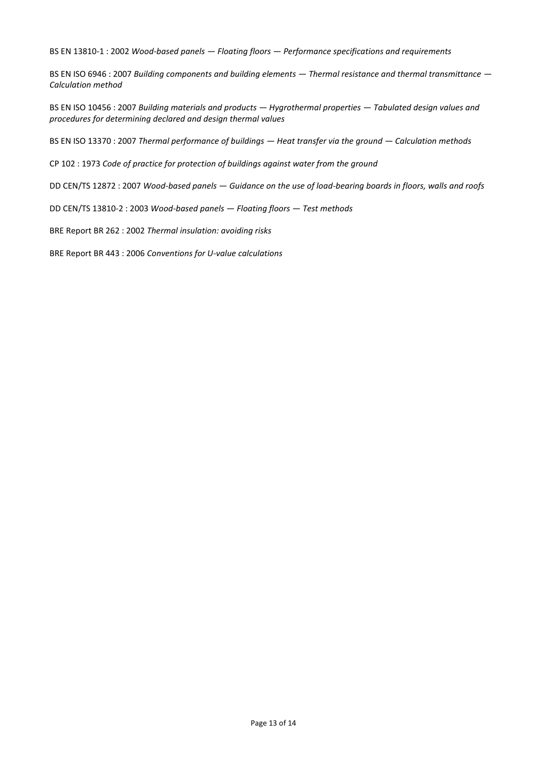BS EN 13810-1 : 2002 *Wood-based panels — Floating floors — Performance specifications and requirements*

BS EN ISO 6946 : 2007 *Building components and building elements — Thermal resistance and thermal transmittance — Calculation method*

BS EN ISO 10456 : 2007 *Building materials and products — Hygrothermal properties — Tabulated design values and procedures for determining declared and design thermal values*

BS EN ISO 13370 : 2007 *Thermal performance of buildings — Heat transfer via the ground — Calculation methods*

CP 102 : 1973 *Code of practice for protection of buildings against water from the ground*

DD CEN/TS 12872 : 2007 *Wood-based panels — Guidance on the use of load-bearing boards in floors, walls and roofs*

DD CEN/TS 13810-2 : 2003 *Wood-based panels — Floating floors — Test methods*

BRE Report BR 262 : 2002 *Thermal insulation: avoiding risks*

BRE Report BR 443 : 2006 *Conventions for U-value calculations*